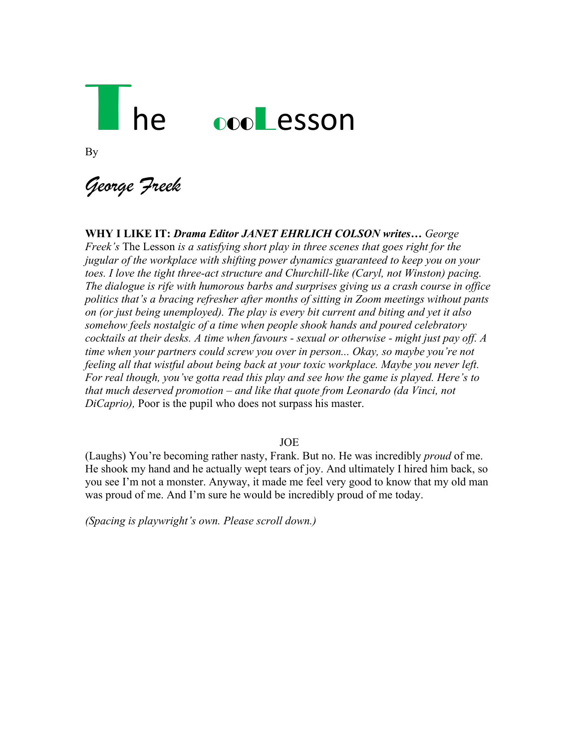# he oooLesson

By

*George Freek*

**WHY I LIKE IT:** *Drama Editor JANET EHRLICH COLSON writes… George Freek's* The Lesson *is a satisfying short play in three scenes that goes right for the jugular of the workplace with shifting power dynamics guaranteed to keep you on your toes. I love the tight three-act structure and Churchill-like (Caryl, not Winston) pacing. The dialogue is rife with humorous barbs and surprises giving us a crash course in office politics that's a bracing refresher after months of sitting in Zoom meetings without pants on (or just being unemployed). The play is every bit current and biting and yet it also somehow feels nostalgic of a time when people shook hands and poured celebratory cocktails at their desks. A time when favours - sexual or otherwise - might just pay off. A time when your partners could screw you over in person... Okay, so maybe you're not feeling all that wistful about being back at your toxic workplace. Maybe you never left. For real though, you've gotta read this play and see how the game is played. Here's to that much deserved promotion – and like that quote from Leonardo (da Vinci, not DiCaprio),* Poor is the pupil who does not surpass his master.

JOE

(Laughs) You're becoming rather nasty, Frank. But no. He was incredibly *proud* of me. He shook my hand and he actually wept tears of joy. And ultimately I hired him back, so you see I'm not a monster. Anyway, it made me feel very good to know that my old man was proud of me. And I'm sure he would be incredibly proud of me today.

*(Spacing is playwright's own. Please scroll down.)*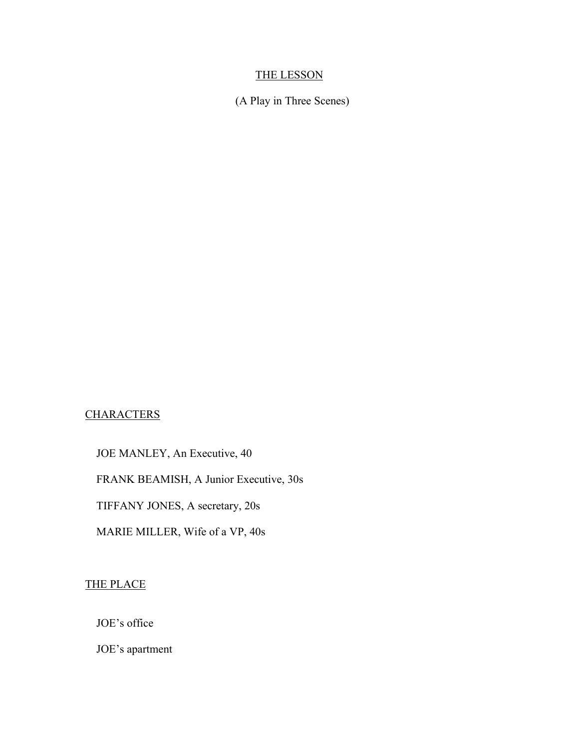# THE LESSON

(A Play in Three Scenes)

# **CHARACTERS**

JOE MANLEY, An Executive, 40

FRANK BEAMISH, A Junior Executive, 30s

TIFFANY JONES, A secretary, 20s

MARIE MILLER, Wife of a VP, 40s

THE PLACE

JOE's office

JOE's apartment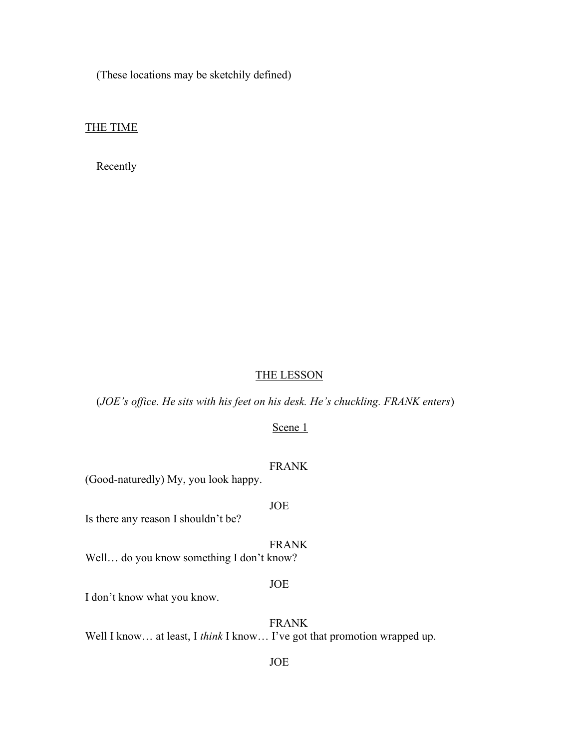(These locations may be sketchily defined)

THE TIME

Recently

#### THE LESSON

(*JOE's office. He sits with his feet on his desk. He's chuckling. FRANK enters*)

Scene 1

FRANK

(Good-naturedly) My, you look happy.

JOE

Is there any reason I shouldn't be?

FRANK

Well… do you know something I don't know?

#### JOE

I don't know what you know.

 FRANK Well I know... at least, I *think* I know... I've got that promotion wrapped up.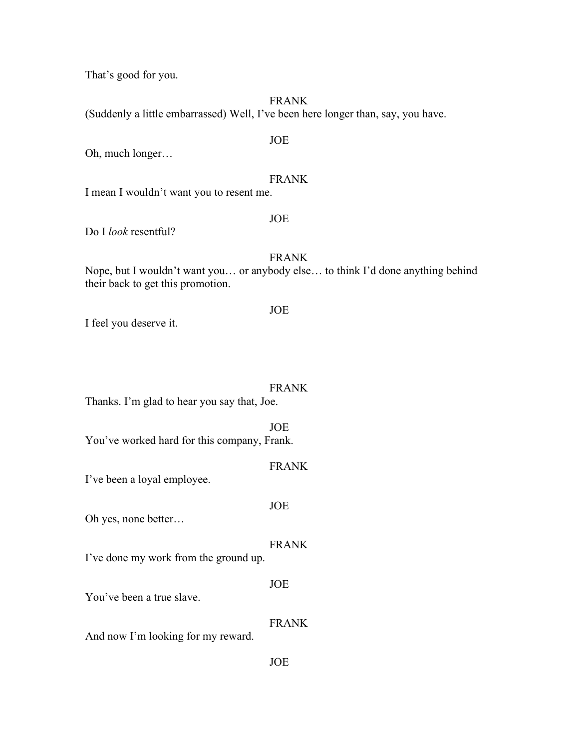That's good for you.

FRANK

(Suddenly a little embarrassed) Well, I've been here longer than, say, you have.

 JOE Oh, much longer…

## FRANK

I mean I wouldn't want you to resent me.

#### JOE

Do I *look* resentful?

#### FRANK

Nope, but I wouldn't want you… or anybody else… to think I'd done anything behind their back to get this promotion.

#### JOE

I feel you deserve it.

#### FRANK

Thanks. I'm glad to hear you say that, Joe.

 JOE You've worked hard for this company, Frank.

I've been a loyal employee.

 JOE Oh yes, none better…

# FRANK

FRANK

I've done my work from the ground up.

 JOE You've been a true slave.

FRANK

And now I'm looking for my reward.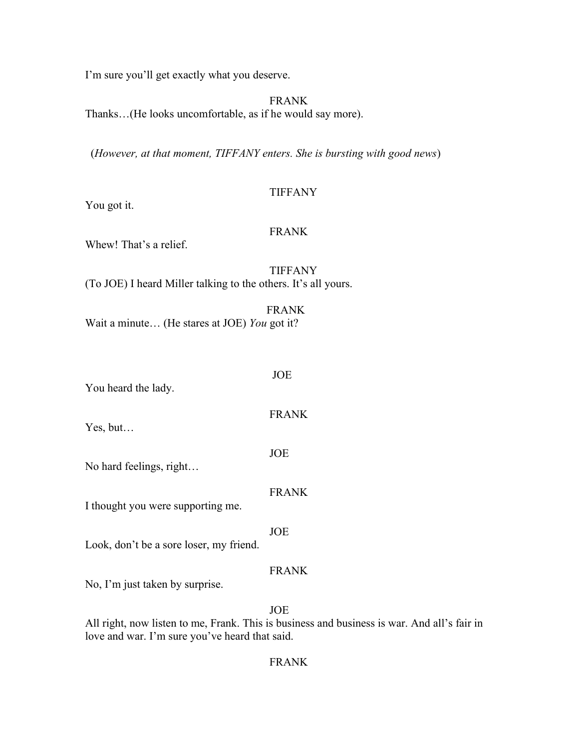I'm sure you'll get exactly what you deserve.

FRANK

Thanks…(He looks uncomfortable, as if he would say more).

(*However, at that moment, TIFFANY enters. She is bursting with good news*)

# TIFFANY

You got it.

### FRANK

Whew! That's a relief.

 TIFFANY (To JOE) I heard Miller talking to the others. It's all yours.

 FRANK Wait a minute… (He stares at JOE) *You* got it?

 JOE You heard the lady.

Yes, but…

 JOE No hard feelings, right…

FRANK

FRANK

I thought you were supporting me.

JOE

Look, don't be a sore loser, my friend.

# FRANK

No, I'm just taken by surprise.

JOE

All right, now listen to me, Frank. This is business and business is war. And all's fair in love and war. I'm sure you've heard that said.

# FRANK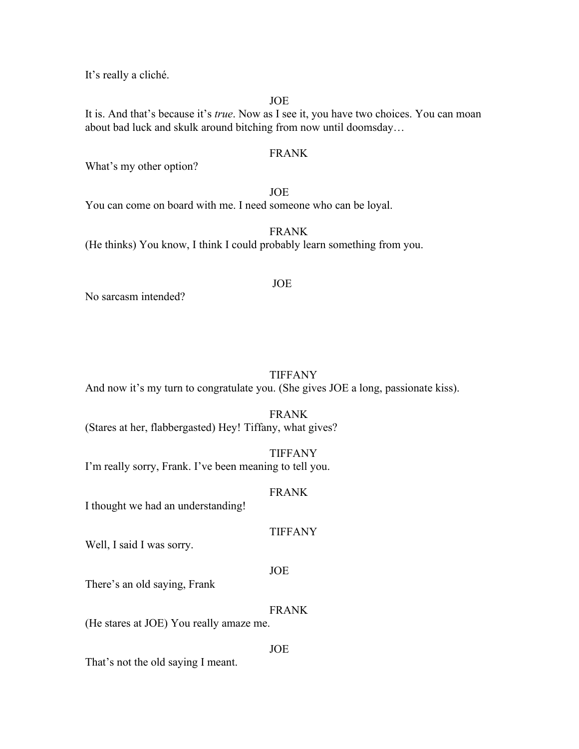It's really a cliché.

JOE

It is. And that's because it's *true*. Now as I see it, you have two choices. You can moan about bad luck and skulk around bitching from now until doomsday…

#### FRANK

What's my other option?

 JOE You can come on board with me. I need someone who can be loyal.

 FRANK (He thinks) You know, I think I could probably learn something from you.

No sarcasm intended?

# TIFFANY

And now it's my turn to congratulate you. (She gives JOE a long, passionate kiss).

FRANK

(Stares at her, flabbergasted) Hey! Tiffany, what gives?

 TIFFANY I'm really sorry, Frank. I've been meaning to tell you.

#### FRANK

I thought we had an understanding!

TIFFANY

Well, I said I was sorry.

#### JOE

There's an old saying, Frank

#### FRANK

(He stares at JOE) You really amaze me.

JOE

That's not the old saying I meant.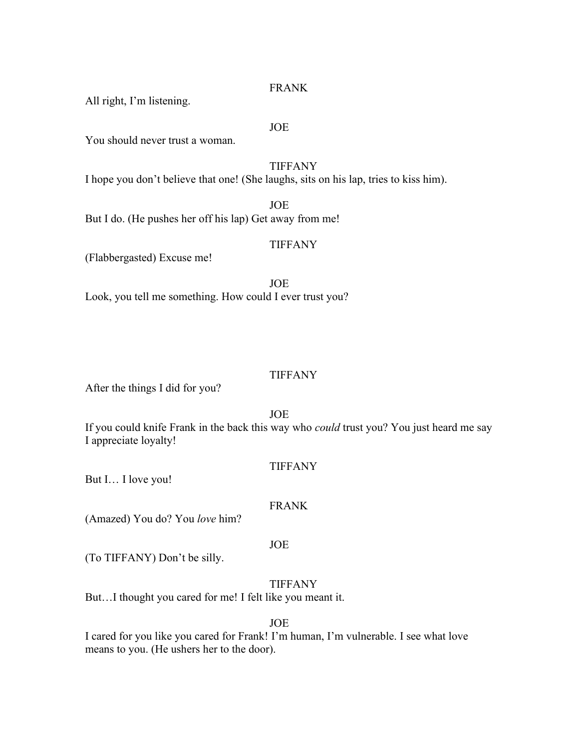# FRANK

All right, I'm listening.

#### JOE

You should never trust a woman.

 TIFFANY I hope you don't believe that one! (She laughs, sits on his lap, tries to kiss him).

 JOE But I do. (He pushes her off his lap) Get away from me!

# TIFFANY

(Flabbergasted) Excuse me!

 JOE Look, you tell me something. How could I ever trust you?

#### TIFFANY

After the things I did for you?

JOE

If you could knife Frank in the back this way who *could* trust you? You just heard me say I appreciate loyalty!

TIFFANY

But I… I love you!

#### FRANK

(Amazed) You do? You *love* him?

### JOE

(To TIFFANY) Don't be silly.

# TIFFANY

But…I thought you cared for me! I felt like you meant it.

#### JOE

I cared for you like you cared for Frank! I'm human, I'm vulnerable. I see what love means to you. (He ushers her to the door).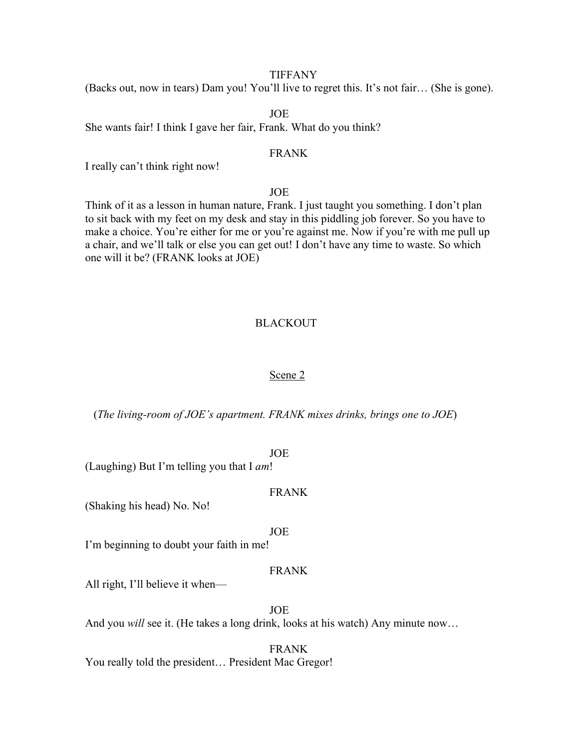#### TIFFANY

(Backs out, now in tears) Dam you! You'll live to regret this. It's not fair… (She is gone).

JOE

She wants fair! I think I gave her fair, Frank. What do you think?

#### FRANK

I really can't think right now!

JOE

Think of it as a lesson in human nature, Frank. I just taught you something. I don't plan to sit back with my feet on my desk and stay in this piddling job forever. So you have to make a choice. You're either for me or you're against me. Now if you're with me pull up a chair, and we'll talk or else you can get out! I don't have any time to waste. So which one will it be? (FRANK looks at JOE)

# BLACKOUT

#### Scene 2

(*The living-room of JOE's apartment. FRANK mixes drinks, brings one to JOE*)

JOE

(Laughing) But I'm telling you that I *am*!

#### FRANK

(Shaking his head) No. No!

JOE

I'm beginning to doubt your faith in me!

#### FRANK

All right, I'll believe it when—

 JOE And you *will* see it. (He takes a long drink, looks at his watch) Any minute now…

 FRANK You really told the president… President Mac Gregor!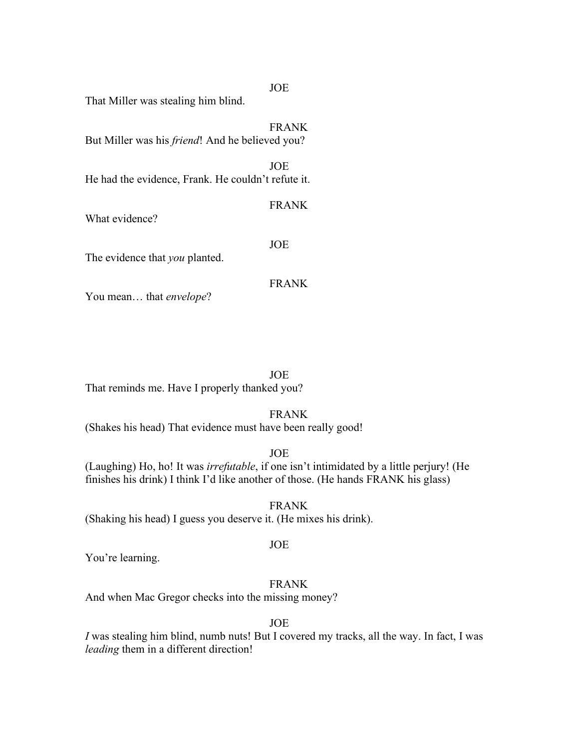That Miller was stealing him blind.

 FRANK But Miller was his *friend*! And he believed you?

 JOE He had the evidence, Frank. He couldn't refute it.

What evidence?

JOE

FRANK

The evidence that *you* planted.

FRANK

You mean… that *envelope*?

JOE

That reminds me. Have I properly thanked you?

#### FRANK

(Shakes his head) That evidence must have been really good!

JOE

(Laughing) Ho, ho! It was *irrefutable*, if one isn't intimidated by a little perjury! (He finishes his drink) I think I'd like another of those. (He hands FRANK his glass)

 FRANK (Shaking his head) I guess you deserve it. (He mixes his drink).

#### JOE

You're learning.

# FRANK

And when Mac Gregor checks into the missing money?

JOE

*I* was stealing him blind, numb nuts! But I covered my tracks, all the way. In fact, I was *leading* them in a different direction!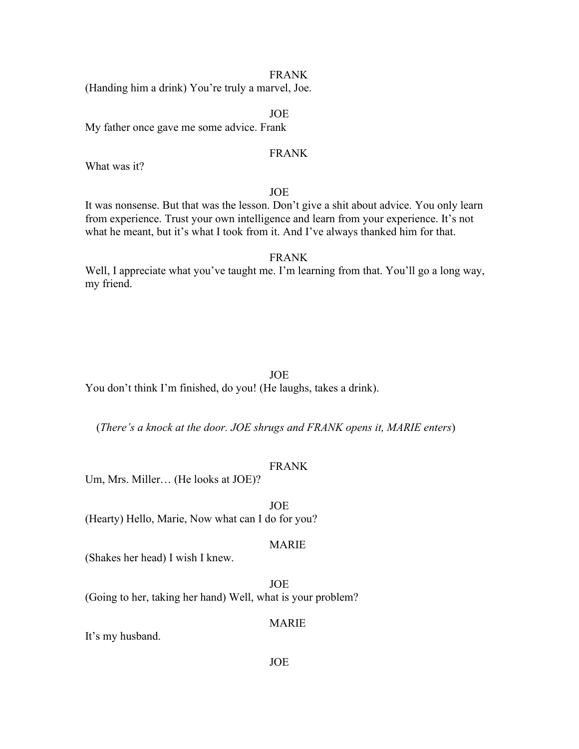#### FRANK

(Handing him a drink) You're truly a marvel, Joe.

#### JOE

My father once gave me some advice. Frank

#### FRANK

What was it?

#### JOE

It was nonsense. But that was the lesson. Don't give a shit about advice. You only learn from experience. Trust your own intelligence and learn from your experience. It's not what he meant, but it's what I took from it. And I've always thanked him for that.

#### FRANK

Well, I appreciate what you've taught me. I'm learning from that. You'll go a long way, my friend.

#### JOE

You don't think I'm finished, do you! (He laughs, takes a drink).

(*There's a knock at the door. JOE shrugs and FRANK opens it, MARIE enters*)

#### FRANK

Um, Mrs. Miller… (He looks at JOE)?

 JOE (Hearty) Hello, Marie, Now what can I do for you?

#### MARIE

(Shakes her head) I wish I knew.

 JOE (Going to her, taking her hand) Well, what is your problem?

MARIE

It's my husband.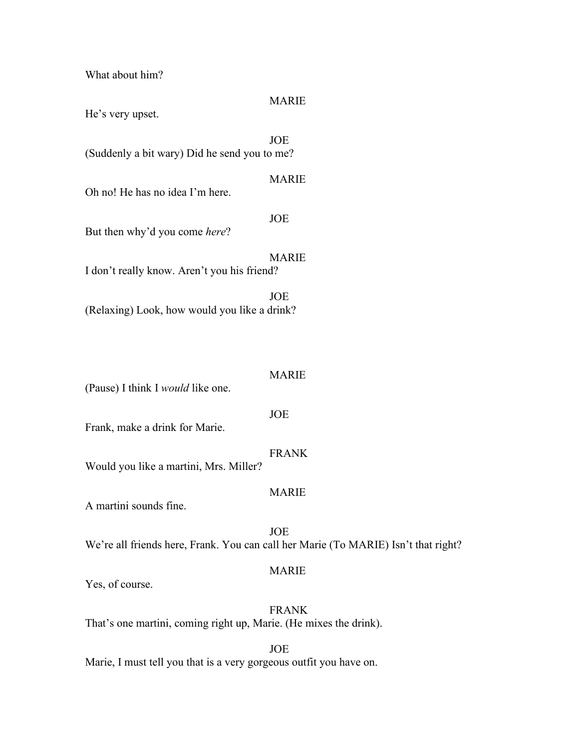What about him?

# MARIE

He's very upset.

 JOE (Suddenly a bit wary) Did he send you to me?

#### MARIE

Oh no! He has no idea I'm here.

JOE

But then why'd you come *here*?

 MARIE I don't really know. Aren't you his friend?

 JOE (Relaxing) Look, how would you like a drink?

# MARIE

(Pause) I think I *would* like one.

JOE

Frank, make a drink for Marie.

# FRANK

Would you like a martini, Mrs. Miller?

#### MARIE

A martini sounds fine.

 JOE We're all friends here, Frank. You can call her Marie (To MARIE) Isn't that right?

#### MARIE

Yes, of course.

 FRANK That's one martini, coming right up, Marie. (He mixes the drink).

JOE

Marie, I must tell you that is a very gorgeous outfit you have on.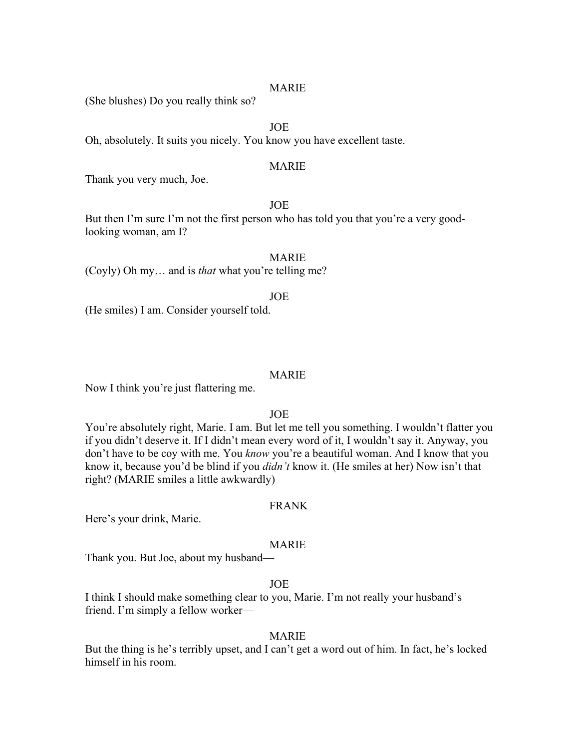#### MARIE

(She blushes) Do you really think so?

JOE

Oh, absolutely. It suits you nicely. You know you have excellent taste.

### MARIE

Thank you very much, Joe.

JOE

But then I'm sure I'm not the first person who has told you that you're a very goodlooking woman, am I?

 MARIE (Coyly) Oh my… and is *that* what you're telling me?

JOE

(He smiles) I am. Consider yourself told.

#### MARIE

Now I think you're just flattering me.

#### JOE

You're absolutely right, Marie. I am. But let me tell you something. I wouldn't flatter you if you didn't deserve it. If I didn't mean every word of it, I wouldn't say it. Anyway, you don't have to be coy with me. You *know* you're a beautiful woman. And I know that you know it, because you'd be blind if you *didn't* know it. (He smiles at her) Now isn't that right? (MARIE smiles a little awkwardly)

#### FRANK

Here's your drink, Marie.

#### MARIE

Thank you. But Joe, about my husband—

#### JOE

I think I should make something clear to you, Marie. I'm not really your husband's friend. I'm simply a fellow worker—

#### MARIE

But the thing is he's terribly upset, and I can't get a word out of him. In fact, he's locked himself in his room.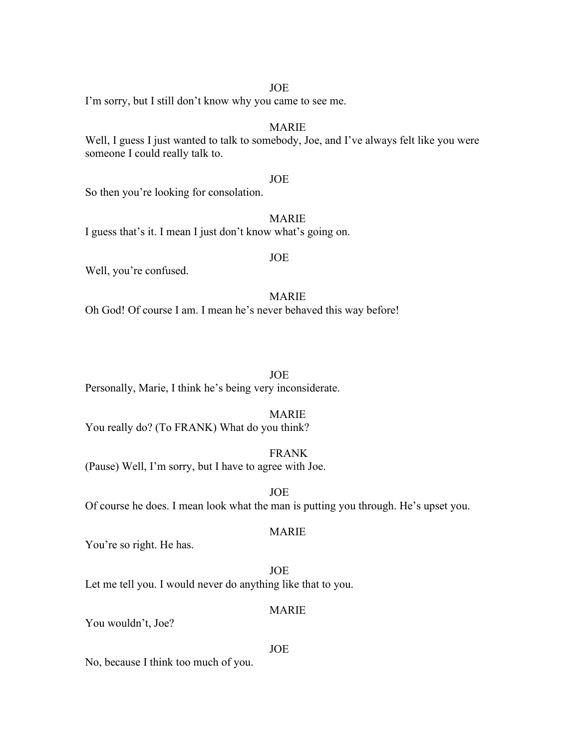#### JOE

I'm sorry, but I still don't know why you came to see me.

# MARIE

Well, I guess I just wanted to talk to somebody, Joe, and I've always felt like you were someone I could really talk to.

#### JOE

So then you're looking for consolation.

# MARIE

I guess that's it. I mean I just don't know what's going on.

#### JOE

Well, you're confused.

### MARIE

Oh God! Of course I am. I mean he's never behaved this way before!

JOE

Personally, Marie, I think he's being very inconsiderate.

#### MARIE

You really do? (To FRANK) What do you think?

 FRANK (Pause) Well, I'm sorry, but I have to agree with Joe.

JOE

Of course he does. I mean look what the man is putting you through. He's upset you.

#### MARIE

You're so right. He has.

 JOE Let me tell you. I would never do anything like that to you.

#### MARIE

You wouldn't, Joe?

#### JOE

No, because I think too much of you.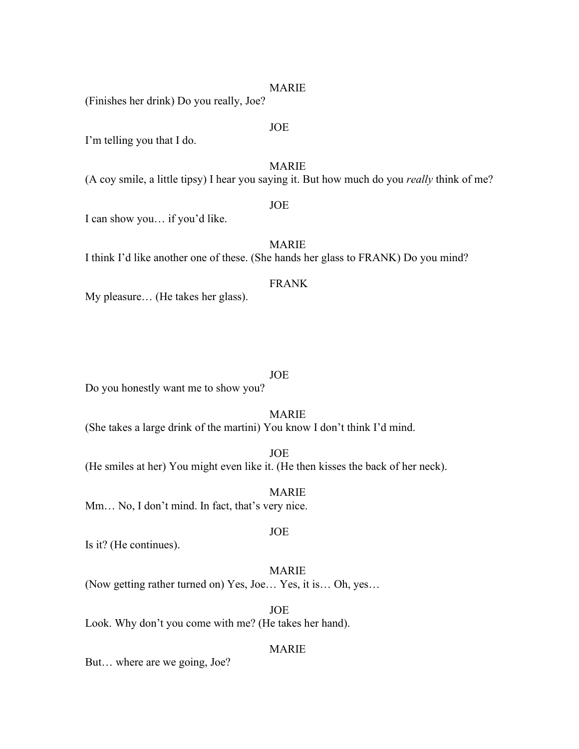#### MARIE

(Finishes her drink) Do you really, Joe?

JOE

JOE

I'm telling you that I do.

MARIE

(A coy smile, a little tipsy) I hear you saying it. But how much do you *really* think of me?

I can show you… if you'd like.

MARIE

I think I'd like another one of these. (She hands her glass to FRANK) Do you mind?

# FRANK

My pleasure… (He takes her glass).

#### JOE

Do you honestly want me to show you?

#### MARIE

(She takes a large drink of the martini) You know I don't think I'd mind.

 JOE (He smiles at her) You might even like it. (He then kisses the back of her neck).

 MARIE Mm… No, I don't mind. In fact, that's very nice.

JOE

Is it? (He continues).

# MARIE

(Now getting rather turned on) Yes, Joe… Yes, it is… Oh, yes…

 JOE Look. Why don't you come with me? (He takes her hand).

#### MARIE

But… where are we going, Joe?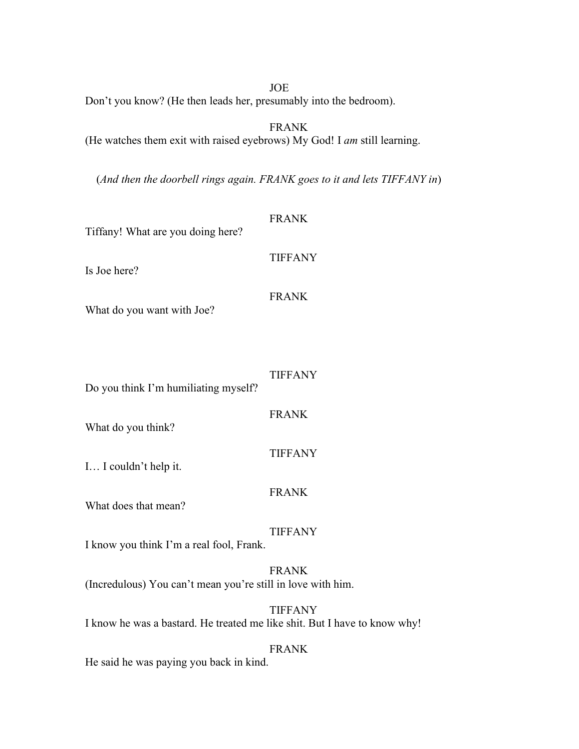JOE

Don't you know? (He then leads her, presumably into the bedroom).

FRANK

(He watches them exit with raised eyebrows) My God! I *am* still learning.

(*And then the doorbell rings again. FRANK goes to it and lets TIFFANY in*)

| Tiffany! What are you doing here?                                         | <b>FRANK</b>   |
|---------------------------------------------------------------------------|----------------|
| Is Joe here?                                                              | <b>TIFFANY</b> |
| What do you want with Joe?                                                | <b>FRANK</b>   |
| Do you think I'm humiliating myself?                                      | <b>TIFFANY</b> |
| What do you think?                                                        | <b>FRANK</b>   |
| I I couldn't help it.                                                     | <b>TIFFANY</b> |
| What does that mean?                                                      | <b>FRANK</b>   |
| I know you think I'm a real fool, Frank.                                  | <b>TIFFANY</b> |
| (Incredulous) You can't mean you're still in love with him.               | <b>FRANK</b>   |
| I know he was a bastard. He treated me like shit. But I have to know why! | <b>TIFFANY</b> |
|                                                                           | <b>FRANK</b>   |

He said he was paying you back in kind.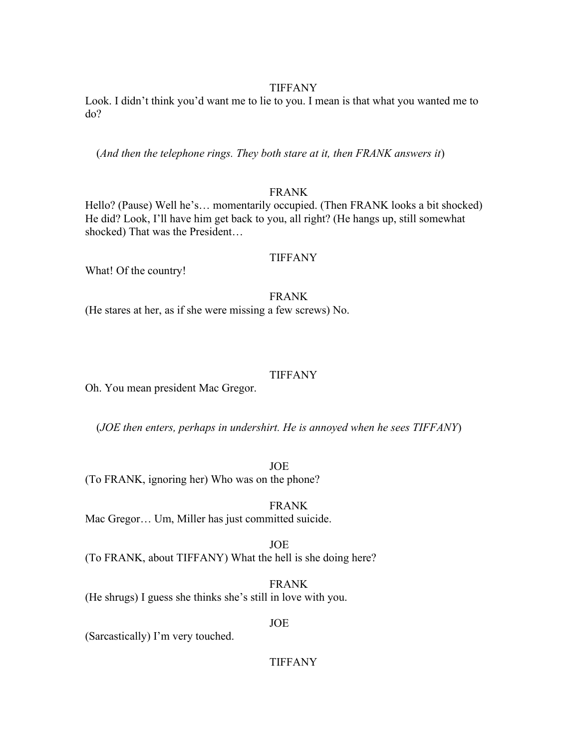#### TIFFANY

Look. I didn't think you'd want me to lie to you. I mean is that what you wanted me to do?

(*And then the telephone rings. They both stare at it, then FRANK answers it*)

# FRANK

Hello? (Pause) Well he's… momentarily occupied. (Then FRANK looks a bit shocked) He did? Look, I'll have him get back to you, all right? (He hangs up, still somewhat shocked) That was the President…

### TIFFANY

What! Of the country!

 FRANK (He stares at her, as if she were missing a few screws) No.

#### TIFFANY

Oh. You mean president Mac Gregor.

(*JOE then enters, perhaps in undershirt. He is annoyed when he sees TIFFANY*)

JOE

(To FRANK, ignoring her) Who was on the phone?

 FRANK Mac Gregor… Um, Miller has just committed suicide.

JOE

(To FRANK, about TIFFANY) What the hell is she doing here?

 FRANK (He shrugs) I guess she thinks she's still in love with you.

JOE

(Sarcastically) I'm very touched.

TIFFANY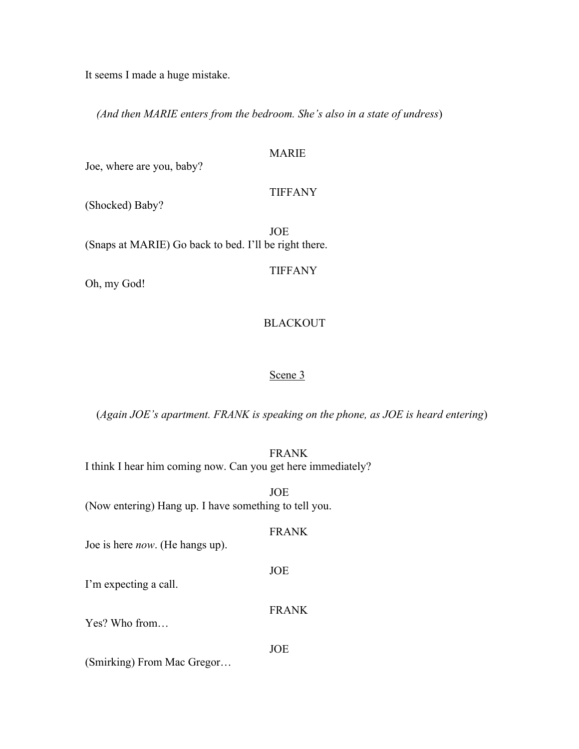It seems I made a huge mistake.

*(And then MARIE enters from the bedroom. She's also in a state of undress*)

# MARIE

Joe, where are you, baby?

#### TIFFANY

(Shocked) Baby?

 JOE (Snaps at MARIE) Go back to bed. I'll be right there.

TIFFANY

Oh, my God!

# BLACKOUT

# Scene 3

(*Again JOE's apartment. FRANK is speaking on the phone, as JOE is heard entering*)

 FRANK I think I hear him coming now. Can you get here immediately?

 JOE (Now entering) Hang up. I have something to tell you.

### FRANK

FRANK

Joe is here *now*. (He hangs up).

JOE

I'm expecting a call.

Yes? Who from…

JOE

(Smirking) From Mac Gregor…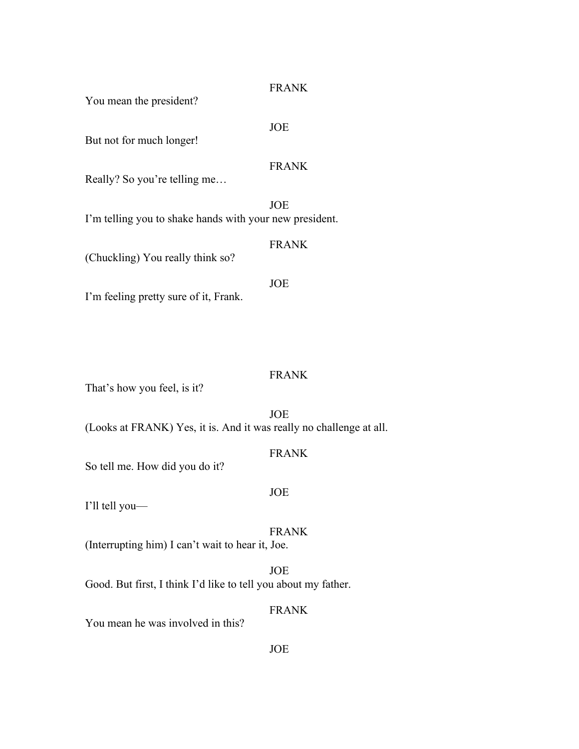# FRANK

You mean the president?

#### JOE

But not for much longer!

# FRANK

Really? So you're telling me…

 JOE I'm telling you to shake hands with your new president.

#### FRANK

(Chuckling) You really think so?

 JOE I'm feeling pretty sure of it, Frank.

# FRANK

That's how you feel, is it?

JOE

(Looks at FRANK) Yes, it is. And it was really no challenge at all.

# FRANK

So tell me. How did you do it?

#### JOE

I'll tell you—

### FRANK

(Interrupting him) I can't wait to hear it, Joe.

#### JOE

Good. But first, I think I'd like to tell you about my father.

# FRANK

You mean he was involved in this?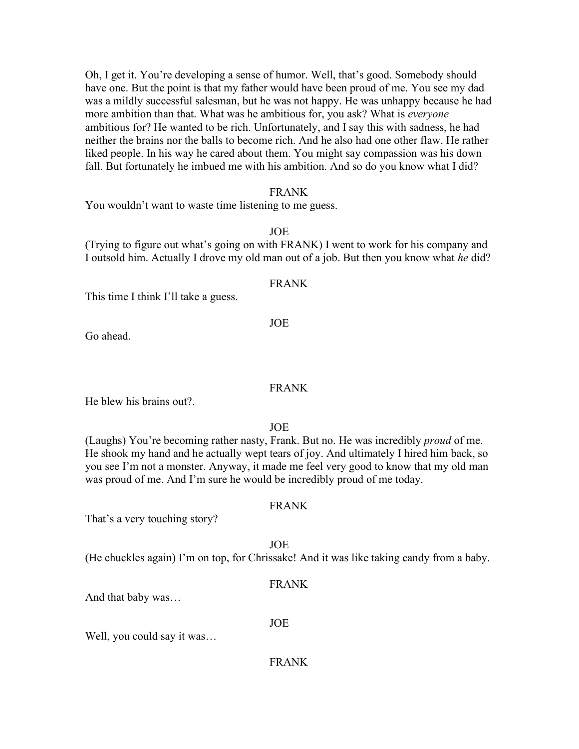Oh, I get it. You're developing a sense of humor. Well, that's good. Somebody should have one. But the point is that my father would have been proud of me. You see my dad was a mildly successful salesman, but he was not happy. He was unhappy because he had more ambition than that. What was he ambitious for, you ask? What is *everyone* ambitious for? He wanted to be rich. Unfortunately, and I say this with sadness, he had neither the brains nor the balls to become rich. And he also had one other flaw. He rather liked people. In his way he cared about them. You might say compassion was his down fall. But fortunately he imbued me with his ambition. And so do you know what I did?

#### FRANK

You wouldn't want to waste time listening to me guess.

#### JOE

(Trying to figure out what's going on with FRANK) I went to work for his company and I outsold him. Actually I drove my old man out of a job. But then you know what *he* did?

#### FRANK

This time I think I'll take a guess.

JOE

Go ahead.

#### FRANK

He blew his brains out?.

JOE

(Laughs) You're becoming rather nasty, Frank. But no. He was incredibly *proud* of me. He shook my hand and he actually wept tears of joy. And ultimately I hired him back, so you see I'm not a monster. Anyway, it made me feel very good to know that my old man was proud of me. And I'm sure he would be incredibly proud of me today.

#### FRANK

That's a very touching story?

JOE

(He chuckles again) I'm on top, for Chrissake! And it was like taking candy from a baby.

#### FRANK

And that baby was…

### JOE

Well, you could say it was…

FRANK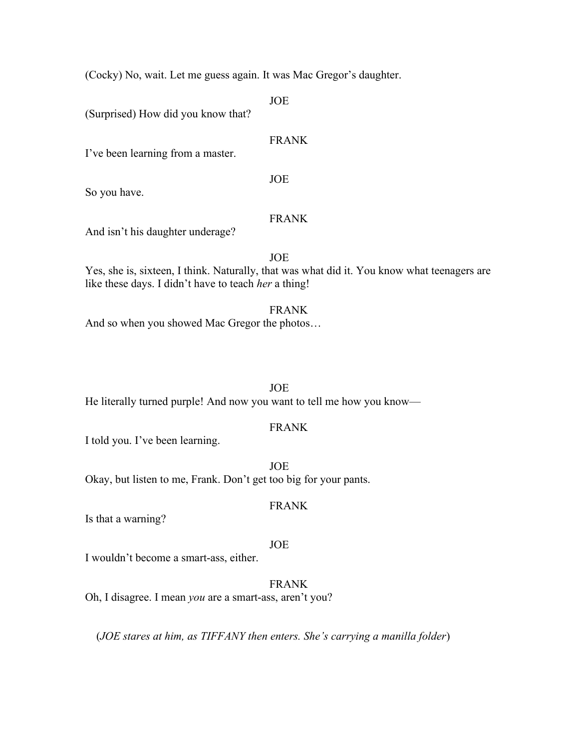(Cocky) No, wait. Let me guess again. It was Mac Gregor's daughter.

JOE

(Surprised) How did you know that?

# FRANK

I've been learning from a master.

JOE

So you have.

# FRANK

And isn't his daughter underage?

#### JOE

Yes, she is, sixteen, I think. Naturally, that was what did it. You know what teenagers are like these days. I didn't have to teach *her* a thing!

# FRANK

And so when you showed Mac Gregor the photos…

# JOE

He literally turned purple! And now you want to tell me how you know—

#### FRANK

I told you. I've been learning.

 JOE Okay, but listen to me, Frank. Don't get too big for your pants.

#### FRANK

Is that a warning?

# JOE

I wouldn't become a smart-ass, either.

# FRANK

Oh, I disagree. I mean *you* are a smart-ass, aren't you?

(*JOE stares at him, as TIFFANY then enters. She's carrying a manilla folder*)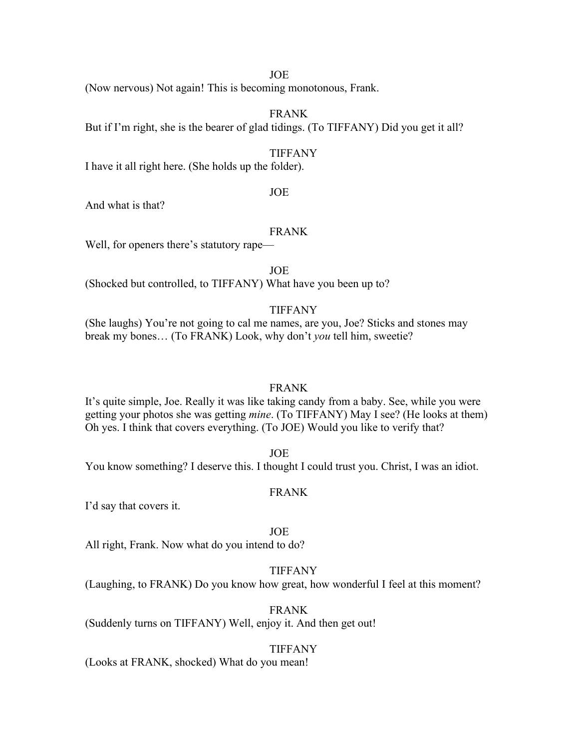#### JOE

(Now nervous) Not again! This is becoming monotonous, Frank.

# FRANK

But if I'm right, she is the bearer of glad tidings. (To TIFFANY) Did you get it all?

#### TIFFANY

I have it all right here. (She holds up the folder).

#### JOE

And what is that?

#### FRANK

Well, for openers there's statutory rape—

JOE

(Shocked but controlled, to TIFFANY) What have you been up to?

#### TIFFANY

(She laughs) You're not going to cal me names, are you, Joe? Sticks and stones may break my bones… (To FRANK) Look, why don't *you* tell him, sweetie?

#### FRANK

It's quite simple, Joe. Really it was like taking candy from a baby. See, while you were getting your photos she was getting *mine*. (To TIFFANY) May I see? (He looks at them) Oh yes. I think that covers everything. (To JOE) Would you like to verify that?

JOE

You know something? I deserve this. I thought I could trust you. Christ, I was an idiot.

#### FRANK

I'd say that covers it.

JOE

All right, Frank. Now what do you intend to do?

#### TIFFANY

(Laughing, to FRANK) Do you know how great, how wonderful I feel at this moment?

#### FRANK

(Suddenly turns on TIFFANY) Well, enjoy it. And then get out!

#### TIFFANY

(Looks at FRANK, shocked) What do you mean!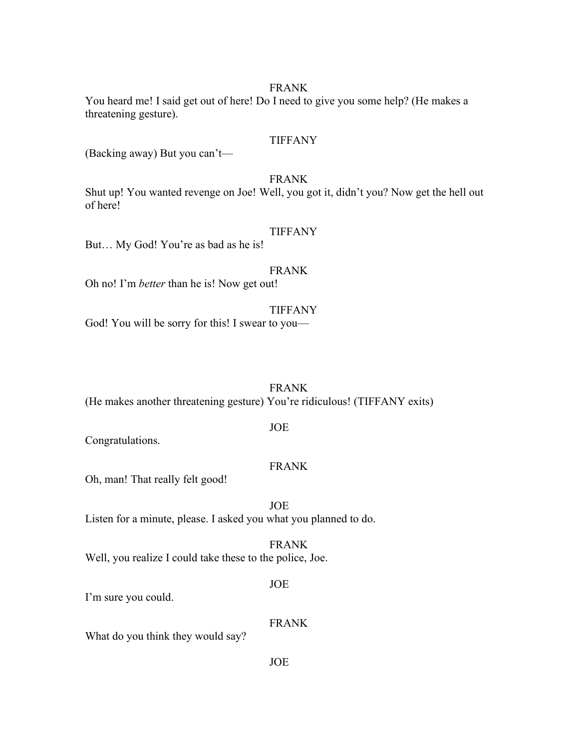#### FRANK

You heard me! I said get out of here! Do I need to give you some help? (He makes a threatening gesture).

# TIFFANY

(Backing away) But you can't—

# FRANK

Shut up! You wanted revenge on Joe! Well, you got it, didn't you? Now get the hell out of here!

#### TIFFANY

But… My God! You're as bad as he is!

# FRANK

Oh no! I'm *better* than he is! Now get out!

#### TIFFANY

God! You will be sorry for this! I swear to you—

#### FRANK

(He makes another threatening gesture) You're ridiculous! (TIFFANY exits)

#### JOE

Congratulations.

#### FRANK

Oh, man! That really felt good!

 JOE Listen for a minute, please. I asked you what you planned to do.

# FRANK

Well, you realize I could take these to the police, Joe.

#### JOE

I'm sure you could.

### FRANK

What do you think they would say?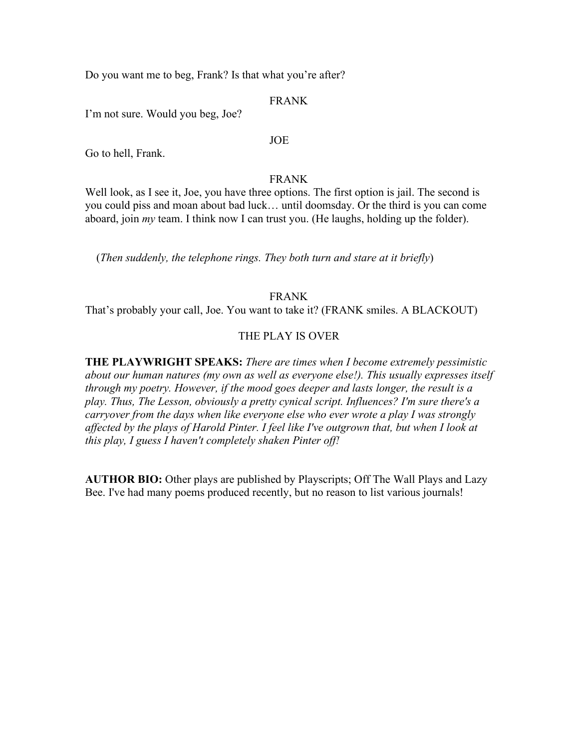Do you want me to beg, Frank? Is that what you're after?

### FRANK

I'm not sure. Would you beg, Joe?

# JOE

Go to hell, Frank.

### FRANK

Well look, as I see it, Joe, you have three options. The first option is jail. The second is you could piss and moan about bad luck… until doomsday. Or the third is you can come aboard, join *my* team. I think now I can trust you. (He laughs, holding up the folder).

(*Then suddenly, the telephone rings. They both turn and stare at it briefly*)

### FRANK

That's probably your call, Joe. You want to take it? (FRANK smiles. A BLACKOUT)

# THE PLAY IS OVER

**THE PLAYWRIGHT SPEAKS:** *There are times when I become extremely pessimistic about our human natures (my own as well as everyone else!). This usually expresses itself through my poetry. However, if the mood goes deeper and lasts longer, the result is a play. Thus, The Lesson, obviously a pretty cynical script. Influences? I'm sure there's a carryover from the days when like everyone else who ever wrote a play I was strongly affected by the plays of Harold Pinter. I feel like I've outgrown that, but when I look at this play, I guess I haven't completely shaken Pinter off!*

**AUTHOR BIO:** Other plays are published by Playscripts; Off The Wall Plays and Lazy Bee. I've had many poems produced recently, but no reason to list various journals!